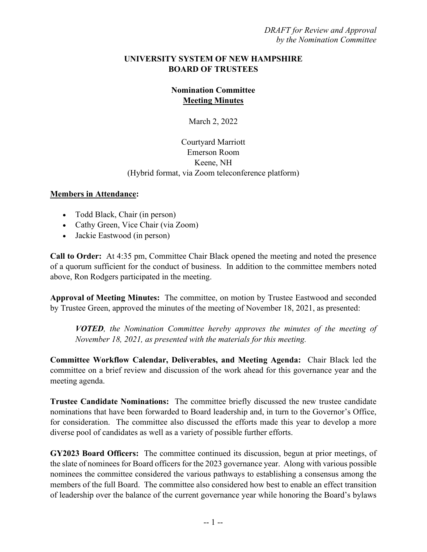## **UNIVERSITY SYSTEM OF NEW HAMPSHIRE BOARD OF TRUSTEES**

## **Nomination Committee Meeting Minutes**

March 2, 2022

## Courtyard Marriott Emerson Room Keene, NH (Hybrid format, via Zoom teleconference platform)

## **Members in Attendance:**

- Todd Black, Chair (in person)
- Cathy Green, Vice Chair (via Zoom)
- Jackie Eastwood (in person)

**Call to Order:** At 4:35 pm, Committee Chair Black opened the meeting and noted the presence of a quorum sufficient for the conduct of business. In addition to the committee members noted above, Ron Rodgers participated in the meeting.

**Approval of Meeting Minutes:** The committee, on motion by Trustee Eastwood and seconded by Trustee Green, approved the minutes of the meeting of November 18, 2021, as presented:

*VOTED, the Nomination Committee hereby approves the minutes of the meeting of November 18, 2021, as presented with the materials for this meeting.*

**Committee Workflow Calendar, Deliverables, and Meeting Agenda:** Chair Black led the committee on a brief review and discussion of the work ahead for this governance year and the meeting agenda.

**Trustee Candidate Nominations:** The committee briefly discussed the new trustee candidate nominations that have been forwarded to Board leadership and, in turn to the Governor's Office, for consideration. The committee also discussed the efforts made this year to develop a more diverse pool of candidates as well as a variety of possible further efforts.

**GY2023 Board Officers:** The committee continued its discussion, begun at prior meetings, of the slate of nominees for Board officers for the 2023 governance year. Along with various possible nominees the committee considered the various pathways to establishing a consensus among the members of the full Board. The committee also considered how best to enable an effect transition of leadership over the balance of the current governance year while honoring the Board's bylaws